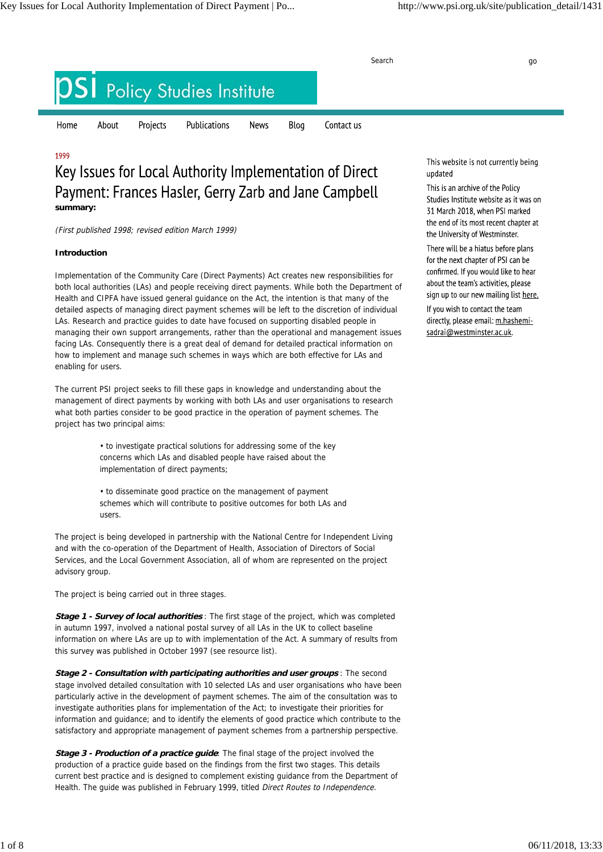Search go and the search go and the search go and the search go and the search go and the search go **Policy Studies Institute** Home About Projects Publications **News** Blog Contact us

# 1999

# Key Issues for Local Authority Implementation of Direct Payment: Frances Hasler, Gerry Zarb and Jane Campbell **summary:**

(First published 1998; revised edition March 1999)

# **Introduction**

Implementation of the Community Care (Direct Payments) Act creates new responsibilities for both local authorities (LAs) and people receiving direct payments. While both the Department of Health and CIPFA have issued general guidance on the Act, the intention is that many of the detailed aspects of managing direct payment schemes will be left to the discretion of individual LAs. Research and practice guides to date have focused on supporting disabled people in managing their own support arrangements, rather than the operational and management issues facing LAs. Consequently there is a great deal of demand for detailed practical information on how to implement and manage such schemes in ways which are both effective for LAs and enabling for users.

The current PSI project seeks to fill these gaps in knowledge and understanding about the management of direct payments by working with both LAs and user organisations to research what both parties consider to be good practice in the operation of payment schemes. The project has two principal aims:

> • to investigate practical solutions for addressing some of the key concerns which LAs and disabled people have raised about the implementation of direct payments;

• to disseminate good practice on the management of payment schemes which will contribute to positive outcomes for both LAs and users.

The project is being developed in partnership with the National Centre for Independent Living and with the co-operation of the Department of Health, Association of Directors of Social Services, and the Local Government Association, all of whom are represented on the project advisory group.

The project is being carried out in three stages.

**Stage 1 - Survey of local authorities** : The first stage of the project, which was completed in autumn 1997, involved a national postal survey of all LAs in the UK to collect baseline information on where LAs are up to with implementation of the Act. A summary of results from this survey was published in October 1997 (see resource list).

**Stage 2 - Consultation with participating authorities and user groups** : The second stage involved detailed consultation with 10 selected LAs and user organisations who have been particularly active in the development of payment schemes. The aim of the consultation was to investigate authorities plans for implementation of the Act; to investigate their priorities for information and guidance; and to identify the elements of good practice which contribute to the satisfactory and appropriate management of payment schemes from a partnership perspective.

**Stage 3 - Production of a practice guide:** The final stage of the project involved the production of a practice guide based on the findings from the first two stages. This details current best practice and is designed to complement existing guidance from the Department of Health. The guide was published in February 1999, titled Direct Routes to Independence.

This website is not currently being updated

This is an archive of the Policy Studies Institute website as it was on 31 March 2018, when PSI marked the end of its most recent chapter at the University of Westminster.

There will be a hiatus before plans for the next chapter of PSI can be confirmed. If you would like to hear about the team's activities, please sign up to our new mailing list here.

If you wish to contact the team directly, please email: m.hashemisadrai@westminster.ac.uk.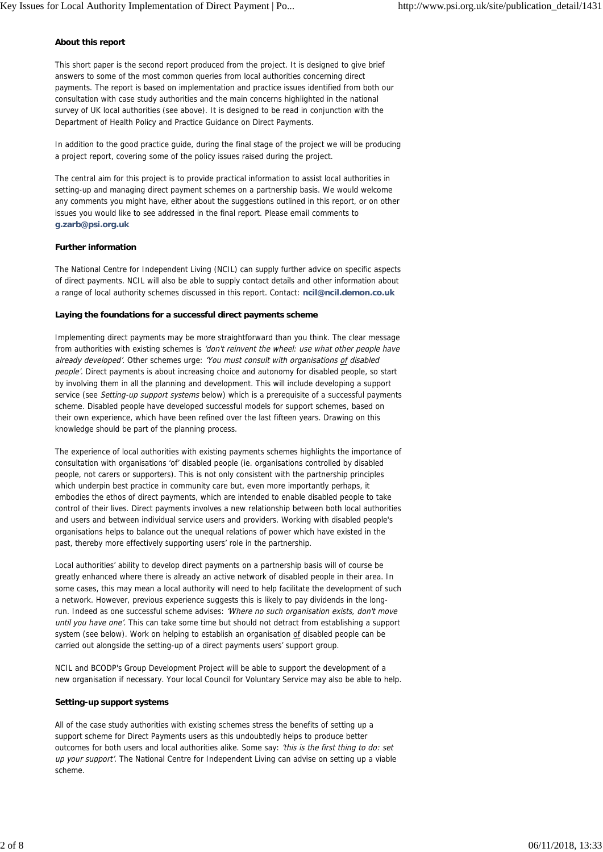#### **About this report**

This short paper is the second report produced from the project. It is designed to give brief answers to some of the most common queries from local authorities concerning direct payments. The report is based on implementation and practice issues identified from both our consultation with case study authorities and the main concerns highlighted in the national survey of UK local authorities (see above). It is designed to be read in conjunction with the Department of Health Policy and Practice Guidance on Direct Payments.

In addition to the good practice guide, during the final stage of the project we will be producing a project report, covering some of the policy issues raised during the project.

The central aim for this project is to provide practical information to assist local authorities in setting-up and managing direct payment schemes on a partnership basis. We would welcome any comments you might have, either about the suggestions outlined in this report, or on other issues you would like to see addressed in the final report. Please email comments to **g.zarb@psi.org.uk**

#### **Further information**

The National Centre for Independent Living (NCIL) can supply further advice on specific aspects of direct payments. NCIL will also be able to supply contact details and other information about a range of local authority schemes discussed in this report. Contact: **ncil@ncil.demon.co.uk**

## **Laying the foundations for a successful direct payments scheme**

Implementing direct payments may be more straightforward than you think. The clear message from authorities with existing schemes is 'don't reinvent the wheel: use what other people have already developed'. Other schemes urge: 'You must consult with organisations of disabled people'. Direct payments is about increasing choice and autonomy for disabled people, so start by involving them in all the planning and development. This will include developing a support service (see Setting-up support systems below) which is a prerequisite of a successful payments scheme. Disabled people have developed successful models for support schemes, based on their own experience, which have been refined over the last fifteen years. Drawing on this knowledge should be part of the planning process.

The experience of local authorities with existing payments schemes highlights the importance of consultation with organisations 'of' disabled people (ie. organisations controlled by disabled people, not carers or supporters). This is not only consistent with the partnership principles which underpin best practice in community care but, even more importantly perhaps, it embodies the ethos of direct payments, which are intended to enable disabled people to take control of their lives. Direct payments involves a new relationship between both local authorities and users and between individual service users and providers. Working with disabled people's organisations helps to balance out the unequal relations of power which have existed in the past, thereby more effectively supporting users' role in the partnership.

Local authorities' ability to develop direct payments on a partnership basis will of course be greatly enhanced where there is already an active network of disabled people in their area. In some cases, this may mean a local authority will need to help facilitate the development of such a network. However, previous experience suggests this is likely to pay dividends in the longrun. Indeed as one successful scheme advises: 'Where no such organisation exists, don't move until you have one'. This can take some time but should not detract from establishing a support system (see below). Work on helping to establish an organisation of disabled people can be carried out alongside the setting-up of a direct payments users' support group.

NCIL and BCODP's Group Development Project will be able to support the development of a new organisation if necessary. Your local Council for Voluntary Service may also be able to help.

#### **Setting-up support systems**

All of the case study authorities with existing schemes stress the benefits of setting up a support scheme for Direct Payments users as this undoubtedly helps to produce better outcomes for both users and local authorities alike. Some say: 'this is the first thing to do: set up your support'. The National Centre for Independent Living can advise on setting up a viable scheme.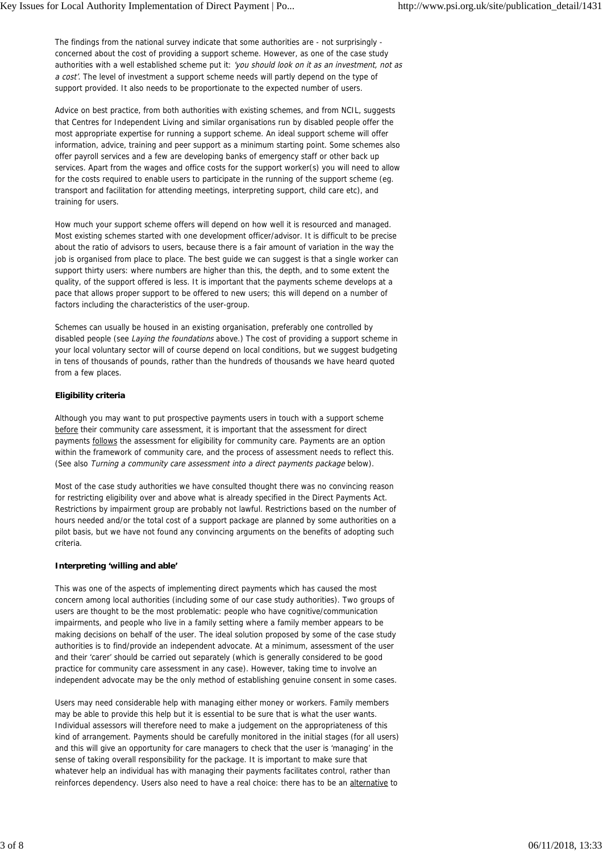The findings from the national survey indicate that some authorities are - not surprisingly concerned about the cost of providing a support scheme. However, as one of the case study authorities with a well established scheme put it: 'you should look on it as an investment, not as a cost'. The level of investment a support scheme needs will partly depend on the type of support provided. It also needs to be proportionate to the expected number of users.

Advice on best practice, from both authorities with existing schemes, and from NCIL, suggests that Centres for Independent Living and similar organisations run by disabled people offer the most appropriate expertise for running a support scheme. An ideal support scheme will offer information, advice, training and peer support as a minimum starting point. Some schemes also offer payroll services and a few are developing banks of emergency staff or other back up services. Apart from the wages and office costs for the support worker(s) you will need to allow for the costs required to enable users to participate in the running of the support scheme (eg. transport and facilitation for attending meetings, interpreting support, child care etc), and training for users.

How much your support scheme offers will depend on how well it is resourced and managed. Most existing schemes started with one development officer/advisor. It is difficult to be precise about the ratio of advisors to users, because there is a fair amount of variation in the way the job is organised from place to place. The best quide we can suggest is that a single worker can support thirty users: where numbers are higher than this, the depth, and to some extent the quality, of the support offered is less. It is important that the payments scheme develops at a pace that allows proper support to be offered to new users; this will depend on a number of factors including the characteristics of the user-group.

Schemes can usually be housed in an existing organisation, preferably one controlled by disabled people (see Laying the foundations above.) The cost of providing a support scheme in your local voluntary sector will of course depend on local conditions, but we suggest budgeting in tens of thousands of pounds, rather than the hundreds of thousands we have heard quoted from a few places.

# **Eligibility criteria**

Although you may want to put prospective payments users in touch with a support scheme before their community care assessment, it is important that the assessment for direct payments follows the assessment for eligibility for community care. Payments are an option within the framework of community care, and the process of assessment needs to reflect this. (See also Turning a community care assessment into a direct payments package below).

Most of the case study authorities we have consulted thought there was no convincing reason for restricting eligibility over and above what is already specified in the Direct Payments Act. Restrictions by impairment group are probably not lawful. Restrictions based on the number of hours needed and/or the total cost of a support package are planned by some authorities on a pilot basis, but we have not found any convincing arguments on the benefits of adopting such criteria.

## **Interpreting 'willing and able'**

This was one of the aspects of implementing direct payments which has caused the most concern among local authorities (including some of our case study authorities). Two groups of users are thought to be the most problematic: people who have cognitive/communication impairments, and people who live in a family setting where a family member appears to be making decisions on behalf of the user. The ideal solution proposed by some of the case study authorities is to find/provide an independent advocate. At a minimum, assessment of the user and their 'carer' should be carried out separately (which is generally considered to be good practice for community care assessment in any case). However, taking time to involve an independent advocate may be the only method of establishing genuine consent in some cases.

Users may need considerable help with managing either money or workers. Family members may be able to provide this help but it is essential to be sure that is what the user wants. Individual assessors will therefore need to make a judgement on the appropriateness of this kind of arrangement. Payments should be carefully monitored in the initial stages (for all users) and this will give an opportunity for care managers to check that the user is 'managing' in the sense of taking overall responsibility for the package. It is important to make sure that whatever help an individual has with managing their payments facilitates control, rather than reinforces dependency. Users also need to have a real choice: there has to be an alternative to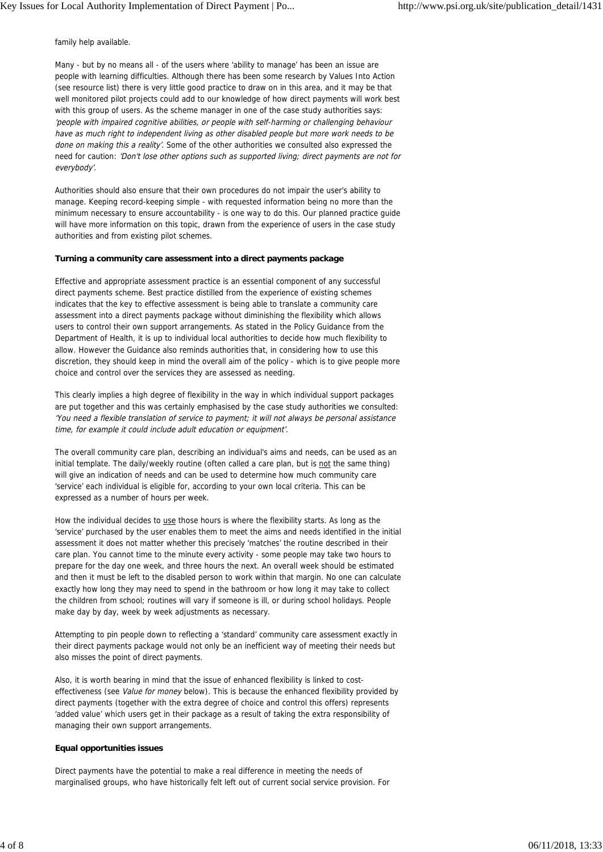family help available.

Many - but by no means all - of the users where 'ability to manage' has been an issue are people with learning difficulties. Although there has been some research by Values Into Action (see resource list) there is very little good practice to draw on in this area, and it may be that well monitored pilot projects could add to our knowledge of how direct payments will work best with this group of users. As the scheme manager in one of the case study authorities says: 'people with impaired cognitive abilities, or people with self-harming or challenging behaviour have as much right to independent living as other disabled people but more work needs to be done on making this a reality'. Some of the other authorities we consulted also expressed the need for caution: 'Don't lose other options such as supported living; direct payments are not for everybody'.

Authorities should also ensure that their own procedures do not impair the user's ability to manage. Keeping record-keeping simple - with requested information being no more than the minimum necessary to ensure accountability - is one way to do this. Our planned practice guide will have more information on this topic, drawn from the experience of users in the case study authorities and from existing pilot schemes.

#### **Turning a community care assessment into a direct payments package**

Effective and appropriate assessment practice is an essential component of any successful direct payments scheme. Best practice distilled from the experience of existing schemes indicates that the key to effective assessment is being able to translate a community care assessment into a direct payments package without diminishing the flexibility which allows users to control their own support arrangements. As stated in the Policy Guidance from the Department of Health, it is up to individual local authorities to decide how much flexibility to allow. However the Guidance also reminds authorities that, in considering how to use this discretion, they should keep in mind the overall aim of the policy - which is to give people more choice and control over the services they are assessed as needing.

This clearly implies a high degree of flexibility in the way in which individual support packages are put together and this was certainly emphasised by the case study authorities we consulted: 'You need a flexible translation of service to payment; it will not always be personal assistance time, for example it could include adult education or equipment'.

The overall community care plan, describing an individual's aims and needs, can be used as an initial template. The daily/weekly routine (often called a care plan, but is not the same thing) will give an indication of needs and can be used to determine how much community care 'service' each individual is eligible for, according to your own local criteria. This can be expressed as a number of hours per week.

How the individual decides to use those hours is where the flexibility starts. As long as the 'service' purchased by the user enables them to meet the aims and needs identified in the initial assessment it does not matter whether this precisely 'matches' the routine described in their care plan. You cannot time to the minute every activity - some people may take two hours to prepare for the day one week, and three hours the next. An overall week should be estimated and then it must be left to the disabled person to work within that margin. No one can calculate exactly how long they may need to spend in the bathroom or how long it may take to collect the children from school; routines will vary if someone is ill, or during school holidays. People make day by day, week by week adjustments as necessary.

Attempting to pin people down to reflecting a 'standard' community care assessment exactly in their direct payments package would not only be an inefficient way of meeting their needs but also misses the point of direct payments.

Also, it is worth bearing in mind that the issue of enhanced flexibility is linked to costeffectiveness (see Value for money below). This is because the enhanced flexibility provided by direct payments (together with the extra degree of choice and control this offers) represents 'added value' which users get in their package as a result of taking the extra responsibility of managing their own support arrangements.

## **Equal opportunities issues**

Direct payments have the potential to make a real difference in meeting the needs of marginalised groups, who have historically felt left out of current social service provision. For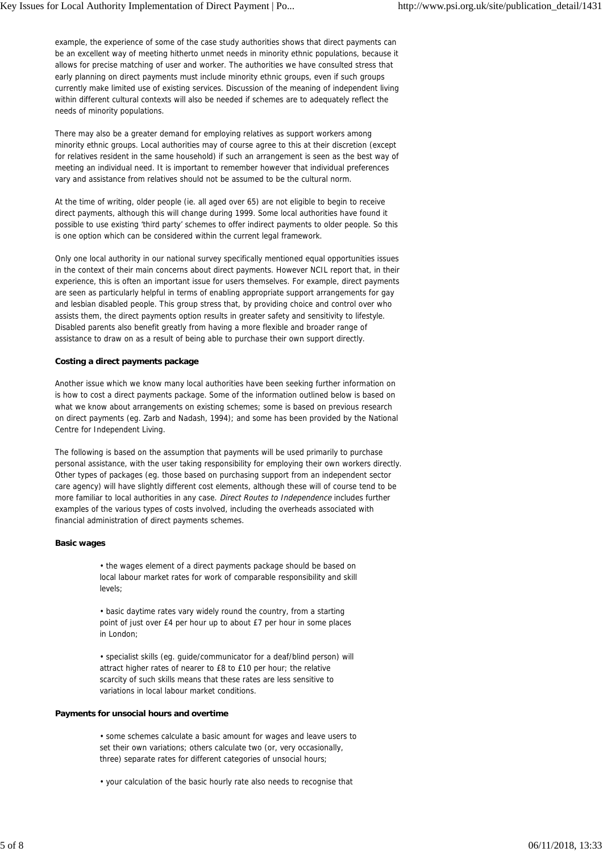example, the experience of some of the case study authorities shows that direct payments can be an excellent way of meeting hitherto unmet needs in minority ethnic populations, because it allows for precise matching of user and worker. The authorities we have consulted stress that early planning on direct payments must include minority ethnic groups, even if such groups currently make limited use of existing services. Discussion of the meaning of independent living within different cultural contexts will also be needed if schemes are to adequately reflect the needs of minority populations.

There may also be a greater demand for employing relatives as support workers among minority ethnic groups. Local authorities may of course agree to this at their discretion (except for relatives resident in the same household) if such an arrangement is seen as the best way of meeting an individual need. It is important to remember however that individual preferences vary and assistance from relatives should not be assumed to be the cultural norm.

At the time of writing, older people (ie. all aged over 65) are not eligible to begin to receive direct payments, although this will change during 1999. Some local authorities have found it possible to use existing 'third party' schemes to offer indirect payments to older people. So this is one option which can be considered within the current legal framework.

Only one local authority in our national survey specifically mentioned equal opportunities issues in the context of their main concerns about direct payments. However NCIL report that, in their experience, this is often an important issue for users themselves. For example, direct payments are seen as particularly helpful in terms of enabling appropriate support arrangements for gay and lesbian disabled people. This group stress that, by providing choice and control over who assists them, the direct payments option results in greater safety and sensitivity to lifestyle. Disabled parents also benefit greatly from having a more flexible and broader range of assistance to draw on as a result of being able to purchase their own support directly.

## **Costing a direct payments package**

Another issue which we know many local authorities have been seeking further information on is how to cost a direct payments package. Some of the information outlined below is based on what we know about arrangements on existing schemes; some is based on previous research on direct payments (eg. Zarb and Nadash, 1994); and some has been provided by the National Centre for Independent Living.

The following is based on the assumption that payments will be used primarily to purchase personal assistance, with the user taking responsibility for employing their own workers directly. Other types of packages (eg. those based on purchasing support from an independent sector care agency) will have slightly different cost elements, although these will of course tend to be more familiar to local authorities in any case. Direct Routes to Independence includes further examples of the various types of costs involved, including the overheads associated with financial administration of direct payments schemes.

## **Basic wages**

• the wages element of a direct payments package should be based on local labour market rates for work of comparable responsibility and skill levels;

• basic daytime rates vary widely round the country, from a starting point of just over £4 per hour up to about £7 per hour in some places in London;

• specialist skills (eg. guide/communicator for a deaf/blind person) will attract higher rates of nearer to £8 to £10 per hour; the relative scarcity of such skills means that these rates are less sensitive to variations in local labour market conditions.

## **Payments for unsocial hours and overtime**

• some schemes calculate a basic amount for wages and leave users to set their own variations; others calculate two (or, very occasionally, three) separate rates for different categories of unsocial hours;

• your calculation of the basic hourly rate also needs to recognise that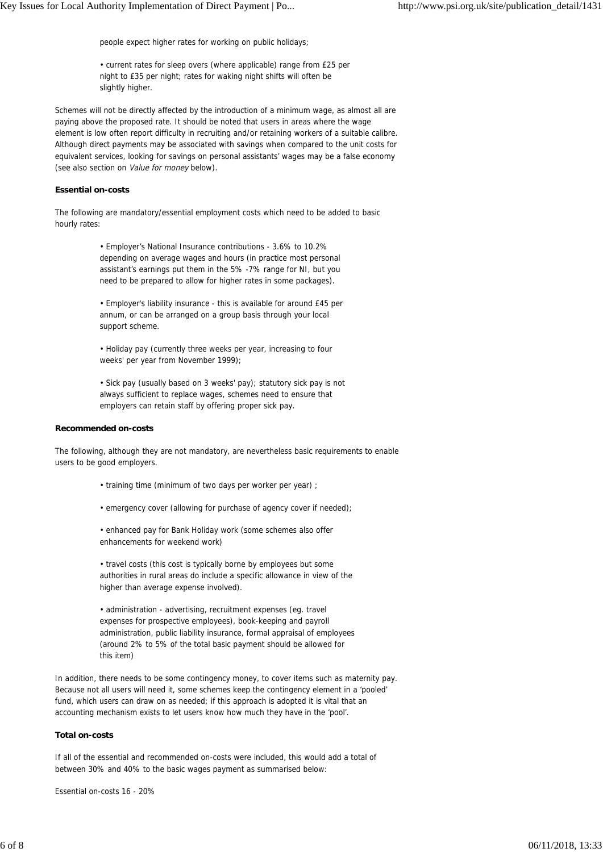people expect higher rates for working on public holidays;

• current rates for sleep overs (where applicable) range from £25 per night to £35 per night; rates for waking night shifts will often be slightly higher.

Schemes will not be directly affected by the introduction of a minimum wage, as almost all are paying above the proposed rate. It should be noted that users in areas where the wage element is low often report difficulty in recruiting and/or retaining workers of a suitable calibre. Although direct payments may be associated with savings when compared to the unit costs for equivalent services, looking for savings on personal assistants' wages may be a false economy (see also section on Value for money below).

#### **Essential on-costs**

The following are mandatory/essential employment costs which need to be added to basic hourly rates:

> • Employer's National Insurance contributions - 3.6% to 10.2% depending on average wages and hours (in practice most personal assistant's earnings put them in the 5% -7% range for NI, but you need to be prepared to allow for higher rates in some packages).

> • Employer's liability insurance - this is available for around £45 per annum, or can be arranged on a group basis through your local support scheme.

• Holiday pay (currently three weeks per year, increasing to four weeks' per year from November 1999);

• Sick pay (usually based on 3 weeks' pay); statutory sick pay is not always sufficient to replace wages, schemes need to ensure that employers can retain staff by offering proper sick pay.

#### **Recommended on-costs**

The following, although they are not mandatory, are nevertheless basic requirements to enable users to be good employers.

- training time (minimum of two days per worker per year) ;
- emergency cover (allowing for purchase of agency cover if needed);

• enhanced pay for Bank Holiday work (some schemes also offer enhancements for weekend work)

• travel costs (this cost is typically borne by employees but some authorities in rural areas do include a specific allowance in view of the higher than average expense involved).

• administration - advertising, recruitment expenses (eg. travel expenses for prospective employees), book-keeping and payroll administration, public liability insurance, formal appraisal of employees (around 2% to 5% of the total basic payment should be allowed for this item)

In addition, there needs to be some contingency money, to cover items such as maternity pay. Because not all users will need it, some schemes keep the contingency element in a 'pooled' fund, which users can draw on as needed; if this approach is adopted it is vital that an accounting mechanism exists to let users know how much they have in the 'pool'.

#### **Total on-costs**

If all of the essential and recommended on-costs were included, this would add a total of between 30% and 40% to the basic wages payment as summarised below:

Essential on-costs 16 - 20%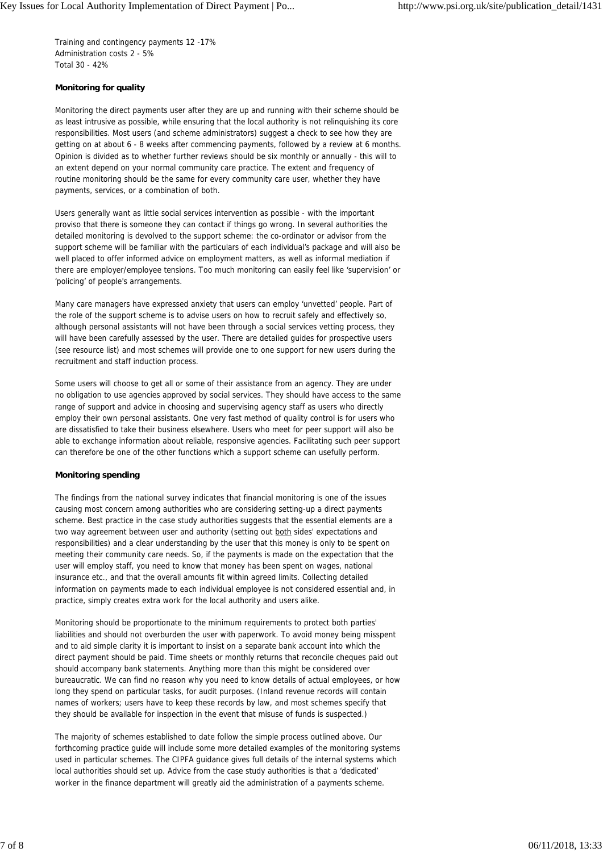Training and contingency payments 12 -17% Administration costs 2 - 5% Total 30 - 42%

# **Monitoring for quality**

Monitoring the direct payments user after they are up and running with their scheme should be as least intrusive as possible, while ensuring that the local authority is not relinquishing its core responsibilities. Most users (and scheme administrators) suggest a check to see how they are getting on at about 6 - 8 weeks after commencing payments, followed by a review at 6 months. Opinion is divided as to whether further reviews should be six monthly or annually - this will to an extent depend on your normal community care practice. The extent and frequency of routine monitoring should be the same for every community care user, whether they have payments, services, or a combination of both.

Users generally want as little social services intervention as possible - with the important proviso that there is someone they can contact if things go wrong. In several authorities the detailed monitoring is devolved to the support scheme: the co-ordinator or advisor from the support scheme will be familiar with the particulars of each individual's package and will also be well placed to offer informed advice on employment matters, as well as informal mediation if there are employer/employee tensions. Too much monitoring can easily feel like 'supervision' or 'policing' of people's arrangements.

Many care managers have expressed anxiety that users can employ 'unvetted' people. Part of the role of the support scheme is to advise users on how to recruit safely and effectively so, although personal assistants will not have been through a social services vetting process, they will have been carefully assessed by the user. There are detailed guides for prospective users (see resource list) and most schemes will provide one to one support for new users during the recruitment and staff induction process.

Some users will choose to get all or some of their assistance from an agency. They are under no obligation to use agencies approved by social services. They should have access to the same range of support and advice in choosing and supervising agency staff as users who directly employ their own personal assistants. One very fast method of quality control is for users who are dissatisfied to take their business elsewhere. Users who meet for peer support will also be able to exchange information about reliable, responsive agencies. Facilitating such peer support can therefore be one of the other functions which a support scheme can usefully perform.

## **Monitoring spending**

The findings from the national survey indicates that financial monitoring is one of the issues causing most concern among authorities who are considering setting-up a direct payments scheme. Best practice in the case study authorities suggests that the essential elements are a two way agreement between user and authority (setting out both sides' expectations and responsibilities) and a clear understanding by the user that this money is only to be spent on meeting their community care needs. So, if the payments is made on the expectation that the user will employ staff, you need to know that money has been spent on wages, national insurance etc., and that the overall amounts fit within agreed limits. Collecting detailed information on payments made to each individual employee is not considered essential and, in practice, simply creates extra work for the local authority and users alike.

Monitoring should be proportionate to the minimum requirements to protect both parties' liabilities and should not overburden the user with paperwork. To avoid money being misspent and to aid simple clarity it is important to insist on a separate bank account into which the direct payment should be paid. Time sheets or monthly returns that reconcile cheques paid out should accompany bank statements. Anything more than this might be considered over bureaucratic. We can find no reason why you need to know details of actual employees, or how long they spend on particular tasks, for audit purposes. (Inland revenue records will contain names of workers; users have to keep these records by law, and most schemes specify that they should be available for inspection in the event that misuse of funds is suspected.)

The majority of schemes established to date follow the simple process outlined above. Our forthcoming practice guide will include some more detailed examples of the monitoring systems used in particular schemes. The CIPFA guidance gives full details of the internal systems which local authorities should set up. Advice from the case study authorities is that a 'dedicated' worker in the finance department will greatly aid the administration of a payments scheme.